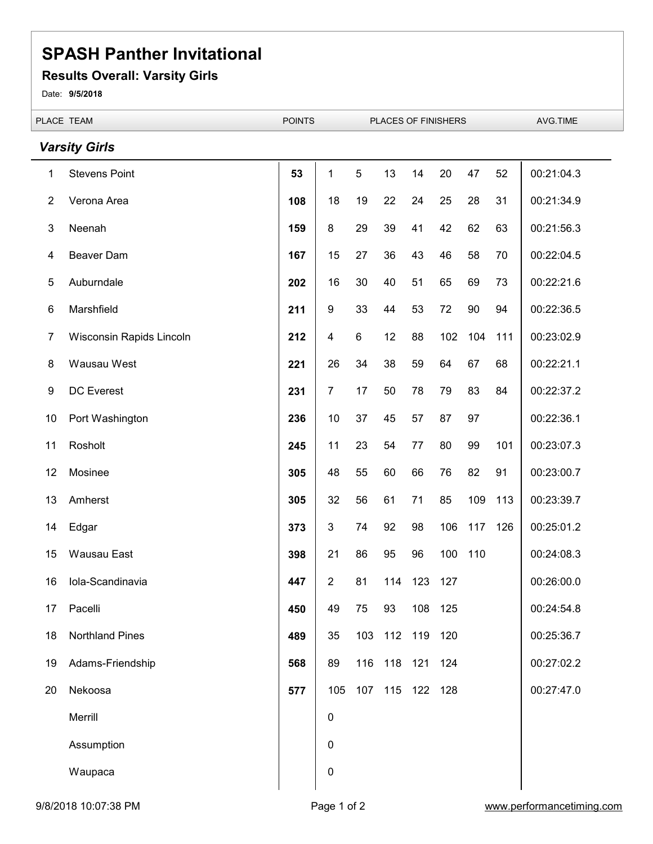#### **Results Overall: Varsity Girls**

Date: **9/5/2018**

|                | PLACE TEAM               |     | <b>POINTS</b>  |     | PLACES OF FINISHERS |                 |     |     |     | AVG.TIME   |
|----------------|--------------------------|-----|----------------|-----|---------------------|-----------------|-----|-----|-----|------------|
|                | <b>Varsity Girls</b>     |     |                |     |                     |                 |     |     |     |            |
| 1              | <b>Stevens Point</b>     | 53  | 1              | 5   | 13                  | 14              | 20  | 47  | 52  | 00:21:04.3 |
| $\overline{2}$ | Verona Area              | 108 | 18             | 19  | 22                  | 24              | 25  | 28  | 31  | 00:21:34.9 |
| $\sqrt{3}$     | Neenah                   | 159 | 8              | 29  | 39                  | 41              | 42  | 62  | 63  | 00:21:56.3 |
| 4              | Beaver Dam               | 167 | 15             | 27  | 36                  | 43              | 46  | 58  | 70  | 00:22:04.5 |
| 5              | Auburndale               | 202 | 16             | 30  | 40                  | 51              | 65  | 69  | 73  | 00:22:21.6 |
| 6              | Marshfield               | 211 | 9              | 33  | 44                  | 53              | 72  | 90  | 94  | 00:22:36.5 |
| 7              | Wisconsin Rapids Lincoln | 212 | 4              | 6   | 12                  | 88              | 102 | 104 | 111 | 00:23:02.9 |
| 8              | Wausau West              | 221 | 26             | 34  | 38                  | 59              | 64  | 67  | 68  | 00:22:21.1 |
| 9              | <b>DC</b> Everest        | 231 | $\overline{7}$ | 17  | 50                  | 78              | 79  | 83  | 84  | 00:22:37.2 |
| 10             | Port Washington          | 236 | 10             | 37  | 45                  | 57              | 87  | 97  |     | 00:22:36.1 |
| 11             | Rosholt                  | 245 | 11             | 23  | 54                  | 77              | 80  | 99  | 101 | 00:23:07.3 |
| 12             | Mosinee                  | 305 | 48             | 55  | 60                  | 66              | 76  | 82  | 91  | 00:23:00.7 |
| 13             | Amherst                  | 305 | 32             | 56  | 61                  | 71              | 85  | 109 | 113 | 00:23:39.7 |
| 14             | Edgar                    | 373 | 3              | 74  | 92                  | 98              | 106 | 117 | 126 | 00:25:01.2 |
| 15             | Wausau East              | 398 | 21             | 86  | 95                  | 96              | 100 | 110 |     | 00:24:08.3 |
| 16             | Iola-Scandinavia         | 447 | $\overline{2}$ | 81  |                     | 114 123         | 127 |     |     | 00:26:00.0 |
| 17             | Pacelli                  | 450 | 49             | 75  | 93                  | 108             | 125 |     |     | 00:24:54.8 |
| 18             | <b>Northland Pines</b>   | 489 | 35             | 103 | 112                 | 119             | 120 |     |     | 00:25:36.7 |
| 19             | Adams-Friendship         | 568 | 89             | 116 | 118                 | 121             | 124 |     |     | 00:27:02.2 |
| 20             | Nekoosa                  | 577 | 105            |     |                     | 107 115 122 128 |     |     |     | 00:27:47.0 |
|                | Merrill                  |     | 0              |     |                     |                 |     |     |     |            |
|                | Assumption               |     | 0              |     |                     |                 |     |     |     |            |
|                | Waupaca                  |     | 0              |     |                     |                 |     |     |     |            |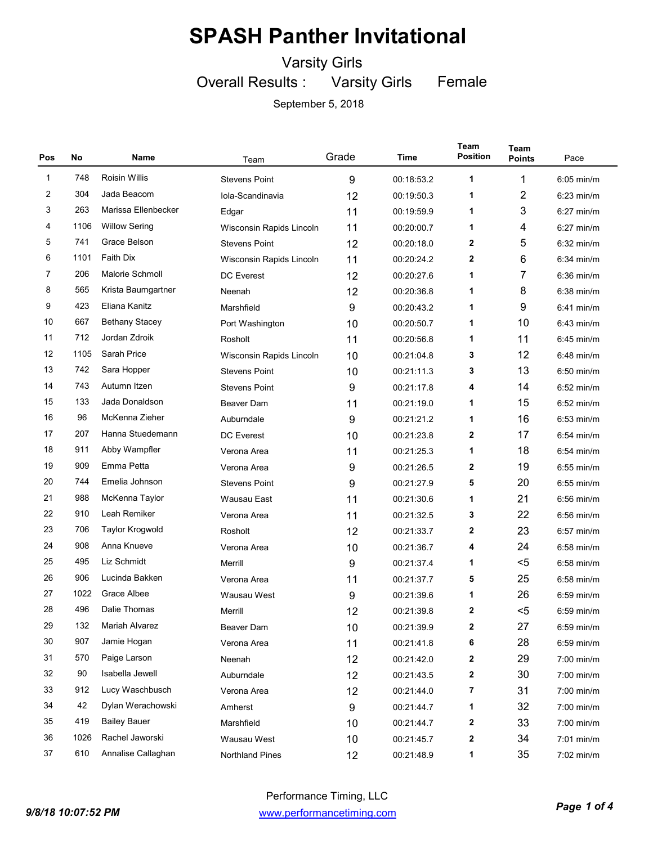Varsity Girls

Overall Results : Varsity Girls Female

| Pos          | No   | Name                   | Team                     | Grade | Time       | Team<br><b>Position</b> | Team<br><b>Points</b> | Pace         |
|--------------|------|------------------------|--------------------------|-------|------------|-------------------------|-----------------------|--------------|
| $\mathbf{1}$ | 748  | <b>Roisin Willis</b>   | <b>Stevens Point</b>     | 9     | 00:18:53.2 | 1                       | 1                     | 6:05 min/m   |
| 2            | 304  | Jada Beacom            | Iola-Scandinavia         | 12    | 00:19:50.3 | 1                       | $\overline{2}$        | $6:23$ min/m |
| 3            | 263  | Marissa Ellenbecker    | Edgar                    | 11    | 00:19:59.9 | 1                       | 3                     | $6:27$ min/m |
| 4            | 1106 | <b>Willow Sering</b>   | Wisconsin Rapids Lincoln | 11    | 00:20:00.7 | 1                       | 4                     | $6:27$ min/m |
| 5            | 741  | Grace Belson           | <b>Stevens Point</b>     | 12    | 00:20:18.0 | $\mathbf{2}$            | 5                     | $6:32$ min/m |
| 6            | 1101 | <b>Faith Dix</b>       | Wisconsin Rapids Lincoln | 11    | 00:20:24.2 | $\mathbf 2$             | 6                     | $6:34$ min/m |
| 7            | 206  | Malorie Schmoll        | <b>DC</b> Everest        | 12    | 00:20:27.6 | 1                       | 7                     | $6:36$ min/m |
| 8            | 565  | Krista Baumgartner     | Neenah                   | 12    | 00:20:36.8 | 1                       | 8                     | $6:38$ min/m |
| 9            | 423  | Eliana Kanitz          | Marshfield               | 9     | 00:20:43.2 | 1                       | 9                     | $6:41$ min/m |
| 10           | 667  | <b>Bethany Stacey</b>  | Port Washington          | 10    | 00:20:50.7 | 1                       | 10                    | $6:43$ min/m |
| 11           | 712  | Jordan Zdroik          | Rosholt                  | 11    | 00:20:56.8 | 1                       | 11                    | $6:45$ min/m |
| 12           | 1105 | Sarah Price            | Wisconsin Rapids Lincoln | 10    | 00:21:04.8 | 3                       | 12                    | $6:48$ min/m |
| 13           | 742  | Sara Hopper            | <b>Stevens Point</b>     | 10    | 00:21:11.3 | 3                       | 13                    | $6:50$ min/m |
| 14           | 743  | Autumn Itzen           | <b>Stevens Point</b>     | 9     | 00:21:17.8 | 4                       | 14                    | $6:52$ min/m |
| 15           | 133  | Jada Donaldson         | <b>Beaver Dam</b>        | 11    | 00:21:19.0 | 1                       | 15                    | $6:52$ min/m |
| 16           | 96   | McKenna Zieher         | Auburndale               | 9     | 00:21:21.2 | 1                       | 16                    | $6:53$ min/m |
| 17           | 207  | Hanna Stuedemann       | <b>DC</b> Everest        | 10    | 00:21:23.8 | 2                       | 17                    | $6:54$ min/m |
| 18           | 911  | Abby Wampfler          | Verona Area              | 11    | 00:21:25.3 | 1                       | 18                    | $6:54$ min/m |
| 19           | 909  | Emma Petta             | Verona Area              | 9     | 00:21:26.5 | 2                       | 19                    | $6:55$ min/m |
| 20           | 744  | Emelia Johnson         | <b>Stevens Point</b>     | 9     | 00:21:27.9 | 5                       | 20                    | $6:55$ min/m |
| 21           | 988  | McKenna Taylor         | Wausau East              | 11    | 00:21:30.6 | 1                       | 21                    | $6:56$ min/m |
| 22           | 910  | Leah Remiker           | Verona Area              | 11    | 00:21:32.5 | 3                       | 22                    | $6:56$ min/m |
| 23           | 706  | <b>Taylor Krogwold</b> | Rosholt                  | 12    | 00:21:33.7 | $\mathbf{2}$            | 23                    | $6:57$ min/m |
| 24           | 908  | Anna Knueve            | Verona Area              | 10    | 00:21:36.7 | 4                       | 24                    | $6:58$ min/m |
| 25           | 495  | Liz Schmidt            | Merrill                  | 9     | 00:21:37.4 | 1                       | $5$                   | $6:58$ min/m |
| 26           | 906  | Lucinda Bakken         | Verona Area              | 11    | 00:21:37.7 | 5                       | 25                    | $6:58$ min/m |
| 27           | 1022 | Grace Albee            | Wausau West              | 9     | 00:21:39.6 | 1                       | 26                    | $6:59$ min/m |
| 28           | 496  | Dalie Thomas           | Merrill                  | 12    | 00:21:39.8 | $\mathbf{2}$            | $5$                   | $6:59$ min/m |
| 29           | 132  | Mariah Alvarez         | Beaver Dam               | 10    | 00:21:39.9 | 2                       | 27                    | 6:59 min/m   |
| 30           | 907  | Jamie Hogan            | Verona Area              | 11    | 00:21:41.8 | 6                       | 28                    | 6:59 min/m   |
| 31           | 570  | Paige Larson           | Neenah                   | 12    | 00:21:42.0 | 2                       | 29                    | 7:00 min/m   |
| 32           | 90   | Isabella Jewell        | Auburndale               | 12    | 00:21:43.5 | 2                       | 30                    | 7:00 min/m   |
| 33           | 912  | Lucy Waschbusch        | Verona Area              | 12    | 00:21:44.0 | 7                       | 31                    | 7:00 min/m   |
| 34           | 42   | Dylan Werachowski      | Amherst                  | 9     | 00:21:44.7 | 1                       | 32                    | 7:00 min/m   |
| 35           | 419  | <b>Bailey Bauer</b>    | Marshfield               | 10    | 00:21:44.7 | 2                       | 33                    | 7:00 min/m   |
| 36           | 1026 | Rachel Jaworski        | Wausau West              | 10    | 00:21:45.7 | 2                       | 34                    | 7:01 min/m   |
| 37           | 610  | Annalise Callaghan     | Northland Pines          | 12    | 00:21:48.9 | 1                       | 35                    | 7:02 min/m   |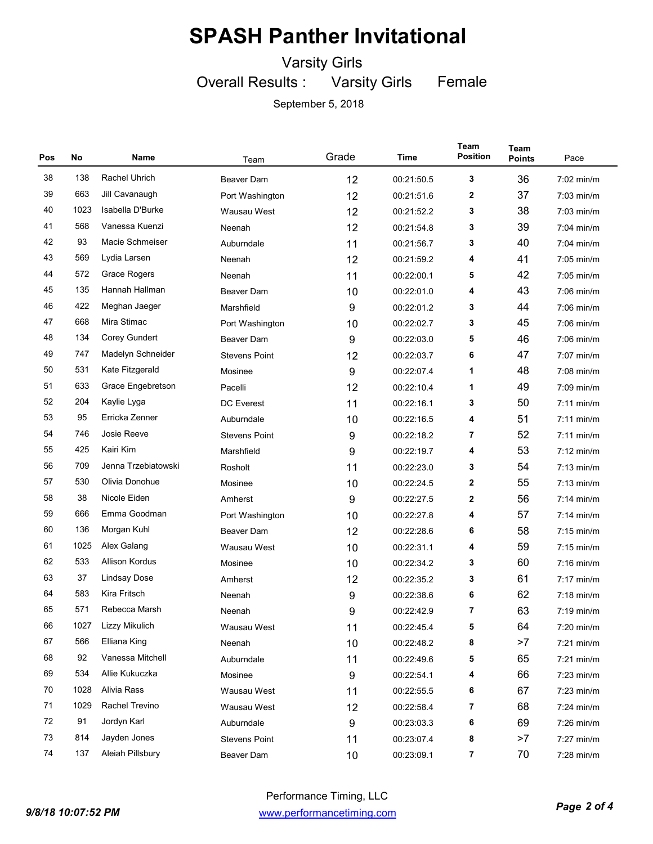Varsity Girls

Overall Results : Varsity Girls

Female

| Pos | No   | Name                | Team                 | Grade | Time       | Team<br><b>Position</b> | Team<br><b>Points</b> | Pace                 |
|-----|------|---------------------|----------------------|-------|------------|-------------------------|-----------------------|----------------------|
| 38  | 138  | Rachel Uhrich       | <b>Beaver Dam</b>    | 12    | 00:21:50.5 | 3                       | 36                    | 7:02 min/m           |
| 39  | 663  | Jill Cavanaugh      | Port Washington      | 12    | 00:21:51.6 | 2                       | 37                    | $7:03$ min/m         |
| 40  | 1023 | Isabella D'Burke    | Wausau West          | 12    | 00:21:52.2 | 3                       | 38                    | $7:03$ min/m         |
| 41  | 568  | Vanessa Kuenzi      | Neenah               | 12    | 00:21:54.8 | 3                       | 39                    | $7:04$ min/m         |
| 42  | 93   | Macie Schmeiser     | Auburndale           | 11    | 00:21:56.7 | 3                       | 40                    | $7:04$ min/m         |
| 43  | 569  | Lydia Larsen        | Neenah               | 12    | 00:21:59.2 | 4                       | 41                    | $7:05$ min/m         |
| 44  | 572  | Grace Rogers        | Neenah               | 11    | 00:22:00.1 | 5                       | 42                    | $7:05$ min/m         |
| 45  | 135  | Hannah Hallman      | <b>Beaver Dam</b>    | 10    | 00:22:01.0 | 4                       | 43                    | $7:06$ min/m         |
| 46  | 422  | Meghan Jaeger       | Marshfield           | 9     | 00:22:01.2 | 3                       | 44                    | $7:06$ min/m         |
| 47  | 668  | Mira Stimac         | Port Washington      | 10    | 00:22:02.7 | 3                       | 45                    | $7:06$ min/m         |
| 48  | 134  | Corey Gundert       | <b>Beaver Dam</b>    | 9     | 00:22:03.0 | 5                       | 46                    | $7:06$ min/m         |
| 49  | 747  | Madelyn Schneider   | <b>Stevens Point</b> | 12    | 00:22:03.7 | 6                       | 47                    | $7:07$ min/m         |
| 50  | 531  | Kate Fitzgerald     | Mosinee              | 9     | 00:22:07.4 | 1                       | 48                    | $7:08$ min/m         |
| 51  | 633  | Grace Engebretson   | Pacelli              | 12    | 00:22:10.4 | 1                       | 49                    | $7:09$ min/m         |
| 52  | 204  | Kaylie Lyga         | <b>DC</b> Everest    | 11    | 00:22:16.1 | 3                       | 50                    | $7:11$ min/m         |
| 53  | 95   | Erricka Zenner      | Auburndale           | 10    | 00:22:16.5 | 4                       | 51                    | $7:11$ min/m         |
| 54  | 746  | Josie Reeve         | <b>Stevens Point</b> | 9     | 00:22:18.2 | 7                       | 52                    | $7:11$ min/m         |
| 55  | 425  | Kairi Kim           | Marshfield           | 9     | 00:22:19.7 | 4                       | 53                    | $7:12 \text{ min/m}$ |
| 56  | 709  | Jenna Trzebiatowski | Rosholt              | 11    | 00:22:23.0 | 3                       | 54                    | $7:13$ min/m         |
| 57  | 530  | Olivia Donohue      | Mosinee              | 10    | 00:22:24.5 | 2                       | 55                    | $7:13$ min/m         |
| 58  | 38   | Nicole Eiden        | Amherst              | 9     | 00:22:27.5 | $\mathbf{2}$            | 56                    | $7:14$ min/m         |
| 59  | 666  | Emma Goodman        | Port Washington      | 10    | 00:22:27.8 | 4                       | 57                    | $7:14$ min/m         |
| 60  | 136  | Morgan Kuhl         | <b>Beaver Dam</b>    | 12    | 00:22:28.6 | 6                       | 58                    | $7:15$ min/m         |
| 61  | 1025 | Alex Galang         | Wausau West          | 10    | 00:22:31.1 | 4                       | 59                    | $7:15$ min/m         |
| 62  | 533  | Allison Kordus      | Mosinee              | 10    | 00:22:34.2 | 3                       | 60                    | $7:16$ min/m         |
| 63  | 37   | <b>Lindsay Dose</b> | Amherst              | 12    | 00:22:35.2 | 3                       | 61                    | $7:17$ min/m         |
| 64  | 583  | Kira Fritsch        | Neenah               | 9     | 00:22:38.6 | 6                       | 62                    | $7:18$ min/m         |
| 65  | 571  | Rebecca Marsh       | Neenah               | 9     | 00:22:42.9 | 7                       | 63                    | $7:19$ min/m         |
| 66  | 1027 | Lizzy Mikulich      | Wausau West          | 11    | 00:22:45.4 | 5                       | 64                    | 7:20 min/m           |
| 67  | 566  | Elliana King        | Neenah               | 10    | 00:22:48.2 | 8                       | >7                    | 7:21 min/m           |
| 68  | 92   | Vanessa Mitchell    | Auburndale           | 11    | 00:22:49.6 | 5                       | 65                    | $7:21$ min/m         |
| 69  | 534  | Allie Kukuczka      | Mosinee              | 9     | 00:22:54.1 | 4                       | 66                    | 7:23 min/m           |
| 70  | 1028 | Alivia Rass         | Wausau West          | 11    | 00:22:55.5 | 6                       | 67                    | $7:23$ min/m         |
| 71  | 1029 | Rachel Trevino      | Wausau West          | 12    | 00:22:58.4 | 7                       | 68                    | 7:24 min/m           |
| 72  | 91   | Jordyn Karl         | Auburndale           | 9     | 00:23:03.3 | 6                       | 69                    | 7:26 min/m           |
| 73  | 814  | Jayden Jones        | <b>Stevens Point</b> | 11    | 00:23:07.4 | 8                       | >7                    | 7:27 min/m           |
| 74  | 137  | Aleiah Pillsbury    | Beaver Dam           | 10    | 00:23:09.1 | $\overline{\mathbf{r}}$ | 70                    | 7:28 min/m           |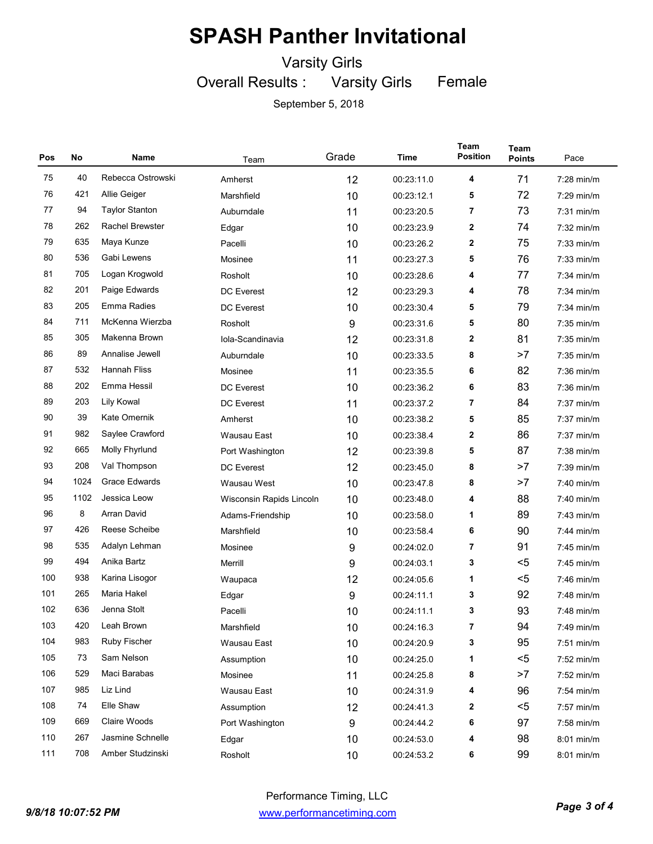Varsity Girls

Overall Results : Varsity Girls Female

| Pos | No   | Name                   | Team                     | Grade | Time       | <b>Team</b><br><b>Position</b> | Team<br><b>Points</b> | Pace         |
|-----|------|------------------------|--------------------------|-------|------------|--------------------------------|-----------------------|--------------|
| 75  | 40   | Rebecca Ostrowski      | Amherst                  | 12    | 00:23:11.0 | 4                              | 71                    | $7:28$ min/m |
| 76  | 421  | Allie Geiger           | Marshfield               | 10    | 00:23:12.1 | 5                              | 72                    | $7:29$ min/m |
| 77  | 94   | <b>Taylor Stanton</b>  | Auburndale               | 11    | 00:23:20.5 | 7                              | 73                    | $7:31$ min/m |
| 78  | 262  | <b>Rachel Brewster</b> | Edgar                    | 10    | 00:23:23.9 | 2                              | 74                    | $7:32$ min/m |
| 79  | 635  | Maya Kunze             | Pacelli                  | 10    | 00:23:26.2 | 2                              | 75                    | $7:33$ min/m |
| 80  | 536  | Gabi Lewens            | Mosinee                  | 11    | 00:23:27.3 | 5                              | 76                    | $7:33$ min/m |
| 81  | 705  | Logan Krogwold         | Rosholt                  | 10    | 00:23:28.6 | 4                              | 77                    | $7:34$ min/m |
| 82  | 201  | Paige Edwards          | <b>DC</b> Everest        | 12    | 00:23:29.3 | 4                              | 78                    | 7:34 min/m   |
| 83  | 205  | Emma Radies            | <b>DC</b> Everest        | 10    | 00:23:30.4 | 5                              | 79                    | $7:34$ min/m |
| 84  | 711  | McKenna Wierzba        | Rosholt                  | 9     | 00:23:31.6 | 5                              | 80                    | 7:35 min/m   |
| 85  | 305  | Makenna Brown          | Iola-Scandinavia         | 12    | 00:23:31.8 | 2                              | 81                    | 7:35 min/m   |
| 86  | 89   | Annalise Jewell        | Auburndale               | 10    | 00:23:33.5 | 8                              | >7                    | $7:35$ min/m |
| 87  | 532  | <b>Hannah Fliss</b>    | Mosinee                  | 11    | 00:23:35.5 | 6                              | 82                    | $7:36$ min/m |
| 88  | 202  | Emma Hessil            | DC Everest               | 10    | 00:23:36.2 | 6                              | 83                    | $7:36$ min/m |
| 89  | 203  | Lily Kowal             | <b>DC</b> Everest        | 11    | 00:23:37.2 | 7                              | 84                    | $7:37$ min/m |
| 90  | 39   | Kate Omernik           | Amherst                  | 10    | 00:23:38.2 | 5                              | 85                    | $7:37$ min/m |
| 91  | 982  | Saylee Crawford        | Wausau East              | 10    | 00:23:38.4 | 2                              | 86                    | $7:37$ min/m |
| 92  | 665  | Molly Fhyrlund         | Port Washington          | 12    | 00:23:39.8 | 5                              | 87                    | 7:38 min/m   |
| 93  | 208  | Val Thompson           | <b>DC</b> Everest        | 12    | 00:23:45.0 | 8                              | >7                    | $7:39$ min/m |
| 94  | 1024 | <b>Grace Edwards</b>   | Wausau West              | 10    | 00:23:47.8 | 8                              | >7                    | $7:40$ min/m |
| 95  | 1102 | Jessica Leow           | Wisconsin Rapids Lincoln | 10    | 00:23:48.0 | 4                              | 88                    | 7:40 min/m   |
| 96  | 8    | Arran David            | Adams-Friendship         | 10    | 00:23:58.0 | 1                              | 89                    | 7:43 min/m   |
| 97  | 426  | Reese Scheibe          | Marshfield               | 10    | 00:23:58.4 | 6                              | 90                    | 7:44 min/m   |
| 98  | 535  | Adalyn Lehman          | Mosinee                  | 9     | 00:24:02.0 | 7                              | 91                    | 7:45 min/m   |
| 99  | 494  | Anika Bartz            | Merrill                  | 9     | 00:24:03.1 | 3                              | $<$ 5                 | $7:45$ min/m |
| 100 | 938  | Karina Lisogor         | Waupaca                  | 12    | 00:24:05.6 | 1                              | $5$                   | 7:46 min/m   |
| 101 | 265  | Maria Hakel            | Edgar                    | 9     | 00:24:11.1 | 3                              | 92                    | $7:48$ min/m |
| 102 | 636  | Jenna Stolt            | Pacelli                  | 10    | 00:24:11.1 | 3                              | 93                    | 7:48 min/m   |
| 103 | 420  | Leah Brown             | Marshfield               | 10    | 00:24:16.3 | 7                              | 94                    | 7:49 min/m   |
| 104 | 983  | Ruby Fischer           | Wausau East              | 10    | 00:24:20.9 | 3                              | 95                    | 7:51 min/m   |
| 105 | 73   | Sam Nelson             | Assumption               | 10    | 00:24:25.0 | 1                              | $5$                   | 7:52 min/m   |
| 106 | 529  | Maci Barabas           | Mosinee                  | 11    | 00:24:25.8 | 8                              | >7                    | 7:52 min/m   |
| 107 | 985  | Liz Lind               | Wausau East              | 10    | 00:24:31.9 | 4                              | 96                    | 7:54 min/m   |
| 108 | 74   | Elle Shaw              | Assumption               | 12    | 00:24:41.3 | 2                              | $5$                   | 7:57 min/m   |
| 109 | 669  | Claire Woods           | Port Washington          | 9     | 00:24:44.2 | 6                              | 97                    | 7:58 min/m   |
| 110 | 267  | Jasmine Schnelle       | Edgar                    | 10    | 00:24:53.0 | 4                              | 98                    | 8:01 min/m   |
| 111 | 708  | Amber Studzinski       | Rosholt                  | 10    | 00:24:53.2 | 6                              | 99                    | 8:01 min/m   |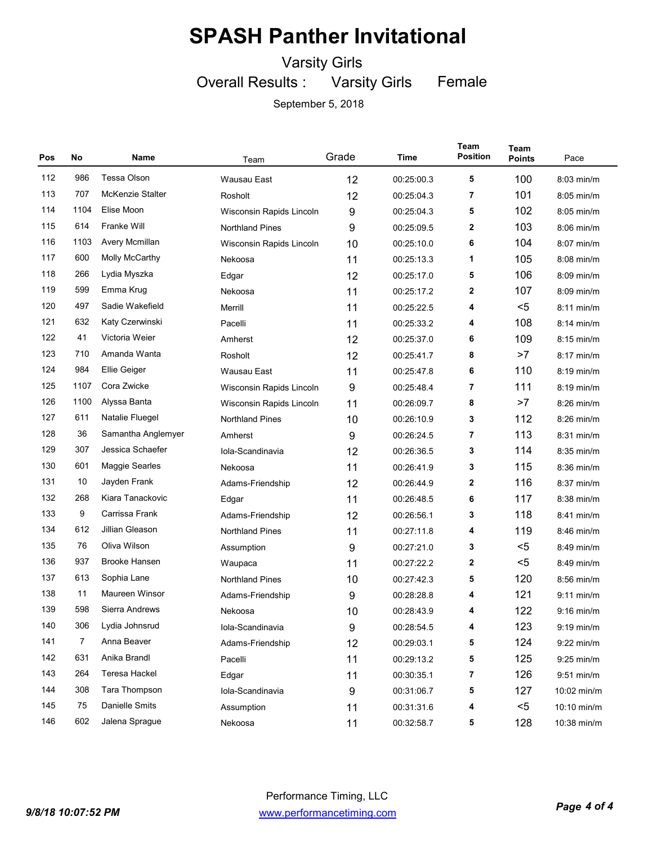Varsity Girls

Overall Results : Varsity Girls Female

| Pos | No             | Name                 | Team                     | Grade | Time       | Team<br><b>Position</b> | Team<br><b>Points</b> | Pace         |
|-----|----------------|----------------------|--------------------------|-------|------------|-------------------------|-----------------------|--------------|
| 112 | 986            | <b>Tessa Olson</b>   | Wausau East              | 12    | 00:25:00.3 | 5                       | 100                   | 8:03 min/m   |
| 113 | 707            | McKenzie Stalter     | Rosholt                  | 12    | 00:25:04.3 | 7                       | 101                   | $8:05$ min/m |
| 114 | 1104           | Elise Moon           | Wisconsin Rapids Lincoln | 9     | 00:25:04.3 | 5                       | 102                   | $8:05$ min/m |
| 115 | 614            | Franke Will          | <b>Northland Pines</b>   | 9     | 00:25:09.5 | 2                       | 103                   | $8:06$ min/m |
| 116 | 1103           | Avery Mcmillan       | Wisconsin Rapids Lincoln | 10    | 00:25:10.0 | 6                       | 104                   | $8:07$ min/m |
| 117 | 600            | Molly McCarthy       | Nekoosa                  | 11    | 00:25:13.3 | 1                       | 105                   | $8:08$ min/m |
| 118 | 266            | Lydia Myszka         | Edgar                    | 12    | 00:25:17.0 | 5                       | 106                   | $8:09$ min/m |
| 119 | 599            | Emma Krug            | Nekoosa                  | 11    | 00:25:17.2 | 2                       | 107                   | $8:09$ min/m |
| 120 | 497            | Sadie Wakefield      | Merrill                  | 11    | 00:25:22.5 | 4                       | $5$                   | $8:11$ min/m |
| 121 | 632            | Katy Czerwinski      | 11<br>Pacelli            |       | 00:25:33.2 | 4                       | 108                   | $8:14$ min/m |
| 122 | 41             | Victoria Weier       | Amherst                  | 12    | 00:25:37.0 | 6                       | 109                   | $8:15$ min/m |
| 123 | 710            | Amanda Wanta         | Rosholt                  | 12    | 00:25:41.7 | 8                       | >7                    | $8:17$ min/m |
| 124 | 984            | Ellie Geiger         | Wausau East              | 11    | 00:25:47.8 | 6                       | 110                   | $8:19$ min/m |
| 125 | 1107           | Cora Zwicke          | Wisconsin Rapids Lincoln | 9     | 00:25:48.4 | 7                       | 111                   | $8:19$ min/m |
| 126 | 1100           | Alyssa Banta         | Wisconsin Rapids Lincoln | 11    | 00:26:09.7 | 8                       | >7                    | $8:26$ min/m |
| 127 | 611            | Natalie Fluegel      | <b>Northland Pines</b>   | 10    | 00:26:10.9 | 3                       | 112                   | $8:26$ min/m |
| 128 | 36             | Samantha Anglemyer   | Amherst                  | 9     | 00:26:24.5 | 7                       | 113                   | $8:31$ min/m |
| 129 | 307            | Jessica Schaefer     | Iola-Scandinavia         | 12    | 00:26:36.5 | 3                       | 114                   | $8:35$ min/m |
| 130 | 601            | Maggie Searles       | Nekoosa                  | 11    | 00:26:41.9 | 3                       | 115                   | $8:36$ min/m |
| 131 | 10             | Jayden Frank         | Adams-Friendship         | 12    | 00:26:44.9 | 2                       | 116                   | $8:37$ min/m |
| 132 | 268            | Kiara Tanackovic     | Edgar                    | 11    | 00:26:48.5 | 6                       | 117                   | $8:38$ min/m |
| 133 | 9              | Carrissa Frank       | Adams-Friendship         | 12    | 00:26:56.1 | 3                       | 118                   | $8:41$ min/m |
| 134 | 612            | Jillian Gleason      | <b>Northland Pines</b>   | 11    | 00:27:11.8 | 4                       | 119                   | $8:46$ min/m |
| 135 | 76             | Oliva Wilson         | Assumption               | 9     | 00:27:21.0 | 3                       | $5$                   | $8:49$ min/m |
| 136 | 937            | <b>Brooke Hansen</b> | Waupaca                  | 11    | 00:27:22.2 | 2                       | $5$                   | $8:49$ min/m |
| 137 | 613            | Sophia Lane          | <b>Northland Pines</b>   | 10    | 00:27:42.3 | 5                       | 120                   | $8:56$ min/m |
| 138 | 11             | Maureen Winsor       | Adams-Friendship         | 9     | 00:28:28.8 | 4                       | 121                   | $9:11$ min/m |
| 139 | 598            | Sierra Andrews       | Nekoosa                  | 10    | 00:28:43.9 | 4                       | 122                   | $9:16$ min/m |
| 140 | 306            | Lydia Johnsrud       | Iola-Scandinavia         | 9     | 00:28:54.5 | 4                       | 123                   | 9:19 min/m   |
| 141 | $\overline{7}$ | Anna Beaver          | Adams-Friendship         | 12    | 00:29:03.1 | 5                       | 124                   | 9:22 min/m   |
| 142 | 631            | Anika Brandl         | Pacelli                  | 11    | 00:29:13.2 | 5                       | 125                   | 9:25 min/m   |
| 143 | 264            | Teresa Hackel        | Edgar                    | 11    | 00:30:35.1 | 7                       | 126                   | $9:51$ min/m |
| 144 | 308            | Tara Thompson        | Iola-Scandinavia         | 9     | 00:31:06.7 | 5                       | 127                   | 10:02 min/m  |
| 145 | 75             | Danielle Smits       | Assumption               | 11    | 00:31:31.6 | 4                       | $5$                   | 10:10 min/m  |
| 146 | 602            | Jalena Sprague       | Nekoosa                  | 11    | 00:32:58.7 | 5                       | 128                   | 10:38 min/m  |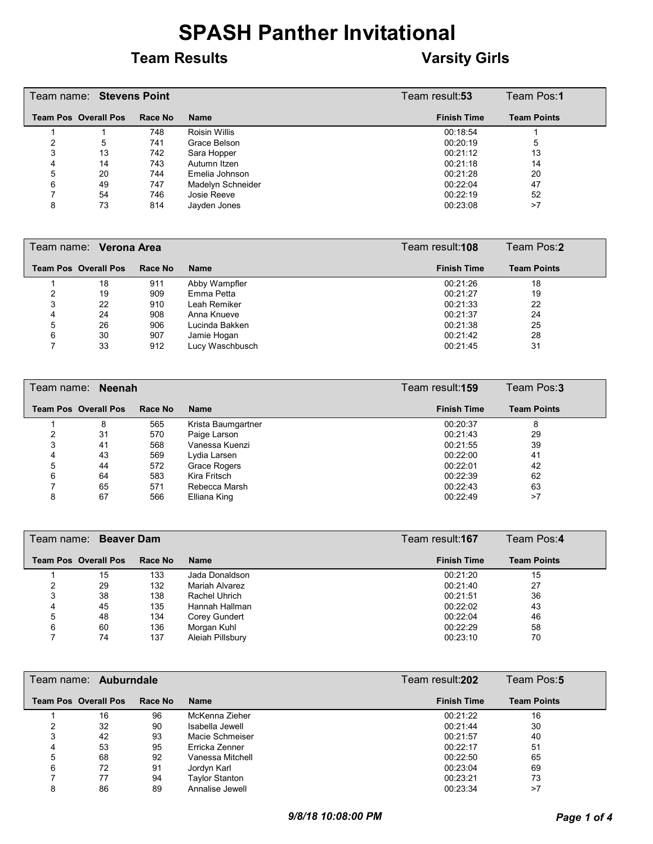#### **Team Results Varsity Girls**

|   | Team name: Stevens Point    |         |                   | Team result: <b>53</b> | Team Pos:1         |
|---|-----------------------------|---------|-------------------|------------------------|--------------------|
|   | <b>Team Pos Overall Pos</b> | Race No | <b>Name</b>       | <b>Finish Time</b>     | <b>Team Points</b> |
|   |                             | 748     | Roisin Willis     | 00:18:54               |                    |
|   | 5                           | 741     | Grace Belson      | 00:20:19               | 5                  |
|   | 13                          | 742     | Sara Hopper       | 00:21:12               | 13                 |
| 4 | 14                          | 743     | Autumn Itzen      | 00:21:18               | 14                 |
| 5 | 20                          | 744     | Emelia Johnson    | 00:21:28               | 20                 |
| 6 | 49                          | 747     | Madelyn Schneider | 00:22:04               | 47                 |
|   | 54                          | 746     | Josie Reeve       | 00:22:19               | 52                 |
| 8 | 73                          | 814     | Javden Jones      | 00:23:08               | >7                 |

|   | Team name: Verona Area      |         |                 | Team Pos:2<br>Team result: <b>108</b> |                    |  |
|---|-----------------------------|---------|-----------------|---------------------------------------|--------------------|--|
|   | <b>Team Pos Overall Pos</b> | Race No | Name            | <b>Finish Time</b>                    | <b>Team Points</b> |  |
|   | 18                          | 911     | Abby Wampfler   | 00:21:26                              | 18                 |  |
|   | 19                          | 909     | Emma Petta      | 00:21:27                              | 19                 |  |
| 3 | 22                          | 910     | Leah Remiker    | 00:21:33                              | 22                 |  |
| 4 | 24                          | 908     | Anna Knueve     | 00:21:37                              | 24                 |  |
| 5 | 26                          | 906     | Lucinda Bakken  | 00:21:38                              | 25                 |  |
| 6 | 30                          | 907     | Jamie Hogan     | 00:21:42                              | 28                 |  |
|   | 33                          | 912     | Lucy Waschbusch | 00:21:45                              | 31                 |  |

|   | Team name: Neenah           |         |                    | Team result: <b>159</b> | Team Pos:3         |
|---|-----------------------------|---------|--------------------|-------------------------|--------------------|
|   | <b>Team Pos Overall Pos</b> | Race No | Name               | <b>Finish Time</b>      | <b>Team Points</b> |
|   | 8                           | 565     | Krista Baumgartner | 00:20:37                | 8                  |
|   | 31                          | 570     | Paige Larson       | 00:21:43                | 29                 |
| 3 | 41                          | 568     | Vanessa Kuenzi     | 00:21:55                | 39                 |
| 4 | 43                          | 569     | Lydia Larsen       | 00:22:00                | 41                 |
| 5 | 44                          | 572     | Grace Rogers       | 00:22:01                | 42                 |
| 6 | 64                          | 583     | Kira Fritsch       | 00:22:39                | 62                 |
|   | 65                          | 571     | Rebecca Marsh      | 00:22:43                | 63                 |
| 8 | 67                          | 566     | Elliana King       | 00:22:49                | >7                 |

|   | Team name: Beaver Dam       |         |                  | Team result: <b>167</b> | Team Pos:4         |
|---|-----------------------------|---------|------------------|-------------------------|--------------------|
|   | <b>Team Pos Overall Pos</b> | Race No | Name             | <b>Finish Time</b>      | <b>Team Points</b> |
|   | 15                          | 133     | Jada Donaldson   | 00:21:20                | 15                 |
|   | 29                          | 132     | Mariah Alvarez   | 00:21:40                | 27                 |
|   | 38                          | 138     | Rachel Uhrich    | 00:21:51                | 36                 |
| 4 | 45                          | 135     | Hannah Hallman   | 00:22:02                | 43                 |
| 5 | 48                          | 134     | Corey Gundert    | 00:22:04                | 46                 |
| 6 | 60                          | 136     | Morgan Kuhl      | 00:22:29                | 58                 |
|   | 74                          | 137     | Aleiah Pillsbury | 00:23:10                | 70                 |

|   | Team name: Auburndale       |         |                  | Team result: <b>202</b> | Team Pos:5         |
|---|-----------------------------|---------|------------------|-------------------------|--------------------|
|   | <b>Team Pos Overall Pos</b> | Race No | <b>Name</b>      | <b>Finish Time</b>      | <b>Team Points</b> |
|   | 16                          | 96      | McKenna Zieher   | 00:21:22                | 16                 |
|   | 32                          | 90      | Isabella Jewell  | 00:21:44                | 30                 |
|   | 42                          | 93      | Macie Schmeiser  | 00:21:57                | 40                 |
|   | 53                          | 95      | Erricka Zenner   | 00:22:17                | 51                 |
| 5 | 68                          | 92      | Vanessa Mitchell | 00:22:50                | 65                 |
| 6 | 72                          | 91      | Jordyn Karl      | 00:23:04                | 69                 |
|   | 77                          | 94      | Taylor Stanton   | 00:23:21                | 73                 |
|   | 86                          | 89      | Annalise Jewell  | 00:23:34                | >7                 |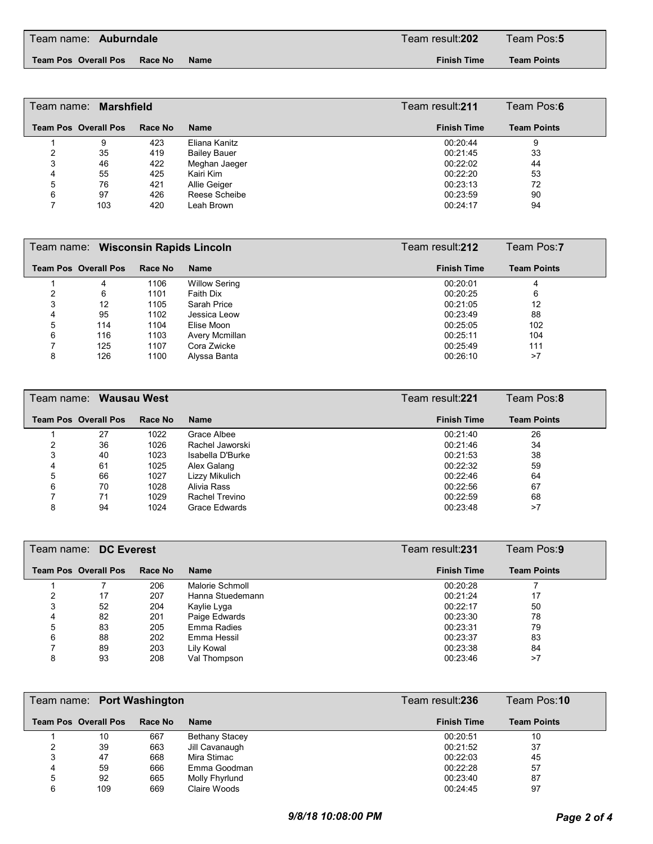**Team Pos Overall Pos Race No Name Finish Time**

**Team Points**

|   | Team name: Marshfield       |         |                     | Team result: <b>211</b> | Team Pos:6         |
|---|-----------------------------|---------|---------------------|-------------------------|--------------------|
|   | <b>Team Pos Overall Pos</b> | Race No | <b>Name</b>         | <b>Finish Time</b>      | <b>Team Points</b> |
|   | 9                           | 423     | Eliana Kanitz       | 00:20:44                | 9                  |
| າ | 35                          | 419     | <b>Bailey Bauer</b> | 00:21:45                | 33                 |
| 3 | 46                          | 422     | Meghan Jaeger       | 00:22:02                | 44                 |
|   | 55                          | 425     | Kairi Kim           | 00:22:20                | 53                 |
| 5 | 76                          | 421     | Allie Geiger        | 00:23:13                | 72                 |
| 6 | 97                          | 426     | Reese Scheibe       | 00:23:59                | 90                 |
|   | 103                         | 420     | Leah Brown          | 00:24:17                | 94                 |

|   | Team name: Wisconsin Rapids Lincoln |         |                      | Team result: <b>212</b> | Team Pos:7         |  |
|---|-------------------------------------|---------|----------------------|-------------------------|--------------------|--|
|   | <b>Team Pos Overall Pos</b>         | Race No | <b>Name</b>          | <b>Finish Time</b>      | <b>Team Points</b> |  |
|   | 4                                   | 1106    | <b>Willow Sering</b> | 00:20:01                | 4                  |  |
|   | 6                                   | 1101    | Faith Dix            | 00:20:25                | 6                  |  |
|   | 12                                  | 1105    | Sarah Price          | 00:21:05                | 12                 |  |
| 4 | 95                                  | 1102    | Jessica Leow         | 00:23:49                | 88                 |  |
| 5 | 114                                 | 1104    | Elise Moon           | 00:25:05                | 102                |  |
| 6 | 116                                 | 1103    | Avery Mcmillan       | 00:25:11                | 104                |  |
|   | 125                                 | 1107    | Cora Zwicke          | 00:25:49                | 111                |  |
| 8 | 126                                 | 1100    | Alyssa Banta         | 00:26:10                | >7                 |  |

|   | Team name: Wausau West      |         |                  | Team result:221    | Team Pos:8         |  |
|---|-----------------------------|---------|------------------|--------------------|--------------------|--|
|   | <b>Team Pos Overall Pos</b> | Race No | <b>Name</b>      | <b>Finish Time</b> | <b>Team Points</b> |  |
|   | 27                          | 1022    | Grace Albee      | 00:21:40           | 26                 |  |
|   | 36                          | 1026    | Rachel Jaworski  | 00:21:46           | 34                 |  |
| 3 | 40                          | 1023    | Isabella D'Burke | 00:21:53           | 38                 |  |
| 4 | 61                          | 1025    | Alex Galang      | 00:22:32           | 59                 |  |
| 5 | 66                          | 1027    | Lizzy Mikulich   | 00:22:46           | 64                 |  |
| 6 | 70                          | 1028    | Alivia Rass      | 00:22:56           | 67                 |  |
|   | 71                          | 1029    | Rachel Trevino   | 00:22:59           | 68                 |  |
| 8 | 94                          | 1024    | Grace Edwards    | 00:23:48           | >7                 |  |

|   | Team name: DC Everest       |         |                  | Team result: <b>231</b> | Team Pos:9         |
|---|-----------------------------|---------|------------------|-------------------------|--------------------|
|   | <b>Team Pos Overall Pos</b> | Race No | <b>Name</b>      | <b>Finish Time</b>      | <b>Team Points</b> |
|   |                             | 206     | Malorie Schmoll  | 00:20:28                |                    |
| ົ | 17                          | 207     | Hanna Stuedemann | 00:21:24                | 17                 |
| 3 | 52                          | 204     | Kaylie Lyga      | 00:22:17                | 50                 |
| 4 | 82                          | 201     | Paige Edwards    | 00:23:30                | 78                 |
| 5 | 83                          | 205     | Emma Radies      | 00:23:31                | 79                 |
| 6 | 88                          | 202     | Emma Hessil      | 00:23:37                | 83                 |
|   | 89                          | 203     | Lily Kowal       | 00:23:38                | 84                 |
| 8 | 93                          | 208     | Val Thompson     | 00:23:46                | >7                 |

|   | Team name: Port Washington  |         |                       | Team result:236    | Team Pos: <b>10</b> |
|---|-----------------------------|---------|-----------------------|--------------------|---------------------|
|   | <b>Team Pos Overall Pos</b> | Race No | <b>Name</b>           | <b>Finish Time</b> | <b>Team Points</b>  |
|   | 10                          | 667     | <b>Bethany Stacey</b> | 00:20:51           | 10                  |
|   | 39                          | 663     | Jill Cavanaugh        | 00:21:52           | 37                  |
| 3 | 47                          | 668     | Mira Stimac           | 00:22:03           | 45                  |
| 4 | 59                          | 666     | Emma Goodman          | 00:22:28           | 57                  |
| 5 | 92                          | 665     | Molly Fhyrlund        | 00:23:40           | 87                  |
| 6 | 109                         | 669     | Claire Woods          | 00:24:45           | 97                  |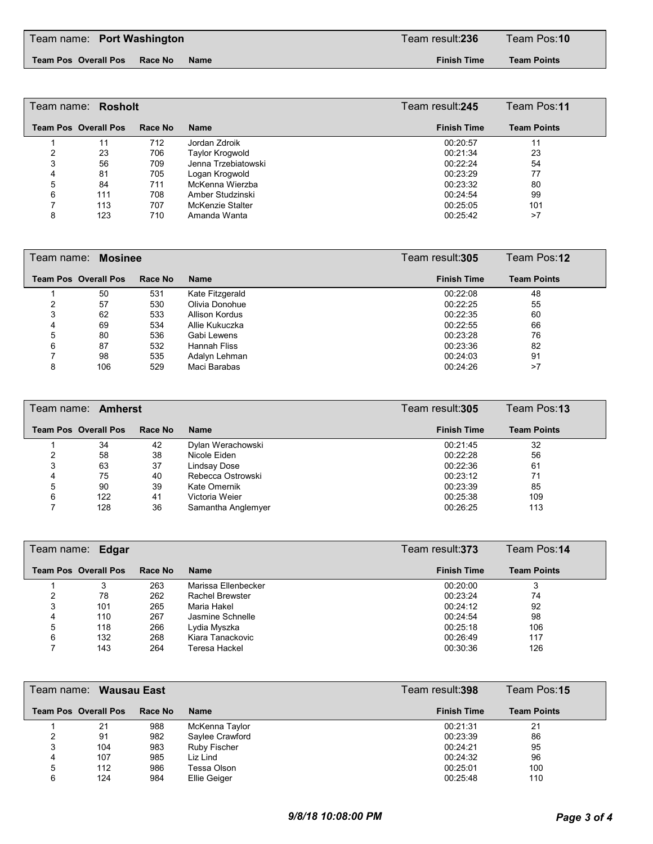**Team Pos Overall Pos Race No Name Finish Time**

**Team Points**

| Team name: <b>Rosholt</b> |                             |         |                     | Team result: <b>245</b> | Team Pos:11        |
|---------------------------|-----------------------------|---------|---------------------|-------------------------|--------------------|
|                           | <b>Team Pos Overall Pos</b> | Race No | <b>Name</b>         | <b>Finish Time</b>      | <b>Team Points</b> |
|                           | 11                          | 712     | Jordan Zdroik       | 00:20:57                | 11                 |
|                           | 23                          | 706     | Taylor Krogwold     | 00:21:34                | 23                 |
| 3                         | 56                          | 709     | Jenna Trzebiatowski | 00:22:24                | 54                 |
|                           | 81                          | 705     | Logan Krogwold      | 00:23:29                | 77                 |
| 5                         | 84                          | 711     | McKenna Wierzba     | 00:23:32                | 80                 |
| 6                         | 111                         | 708     | Amber Studzinski    | 00:24:54                | 99                 |
|                           | 113                         | 707     | McKenzie Stalter    | 00:25:05                | 101                |
| 8                         | 123                         | 710     | Amanda Wanta        | 00:25:42                | >7                 |

| Team name: Mosinee |                             |         |                 | Team result:305    | Team Pos:12        |
|--------------------|-----------------------------|---------|-----------------|--------------------|--------------------|
|                    | <b>Team Pos Overall Pos</b> | Race No | <b>Name</b>     | <b>Finish Time</b> | <b>Team Points</b> |
|                    | 50                          | 531     | Kate Fitzgerald | 00:22:08           | 48                 |
|                    | 57                          | 530     | Olivia Donohue  | 00:22:25           | 55                 |
| 3                  | 62                          | 533     | Allison Kordus  | 00:22:35           | 60                 |
|                    | 69                          | 534     | Allie Kukuczka  | 00:22:55           | 66                 |
| 5                  | 80                          | 536     | Gabi Lewens     | 00:23:28           | 76                 |
| 6                  | 87                          | 532     | Hannah Fliss    | 00:23:36           | 82                 |
|                    | 98                          | 535     | Adalyn Lehman   | 00:24:03           | 91                 |
| 8                  | 106                         | 529     | Maci Barabas    | 00:24:26           | >7                 |

|   | Team name: Amherst          |         | Team result:305    | Team Pos:13        |                    |
|---|-----------------------------|---------|--------------------|--------------------|--------------------|
|   | <b>Team Pos Overall Pos</b> | Race No | <b>Name</b>        | <b>Finish Time</b> | <b>Team Points</b> |
|   | 34                          | 42      | Dylan Werachowski  | 00:21:45           | 32                 |
|   | 58                          | 38      | Nicole Eiden       | 00:22:28           | 56                 |
| 3 | 63                          | 37      | Lindsay Dose       | 00:22:36           | 61                 |
|   | 75                          | 40      | Rebecca Ostrowski  | 00:23:12           | 71                 |
| 5 | 90                          | 39      | Kate Omernik       | 00:23:39           | 85                 |
| 6 | 122                         | 41      | Victoria Weier     | 00:25:38           | 109                |
|   | 128                         | 36      | Samantha Anglemyer | 00:26:25           | 113                |

|   | Team name: Edgar            |         |                        | Team result:373    | Team Pos:14        |
|---|-----------------------------|---------|------------------------|--------------------|--------------------|
|   | <b>Team Pos Overall Pos</b> | Race No | <b>Name</b>            | <b>Finish Time</b> | <b>Team Points</b> |
|   |                             | 263     | Marissa Ellenbecker    | 00:20:00           |                    |
|   | 78                          | 262     | <b>Rachel Brewster</b> | 00:23:24           | 74                 |
| 3 | 101                         | 265     | Maria Hakel            | 00:24:12           | 92                 |
| 4 | 110                         | 267     | Jasmine Schnelle       | 00:24:54           | 98                 |
| 5 | 118                         | 266     | Lydia Myszka           | 00:25:18           | 106                |
| 6 | 132                         | 268     | Kiara Tanackovic       | 00:26:49           | 117                |
|   | 143                         | 264     | Teresa Hackel          | 00:30:36           | 126                |

|   | Team name: <b>Wausau East</b> |         |                 | Team result:398    | Team Pos:15        |
|---|-------------------------------|---------|-----------------|--------------------|--------------------|
|   | <b>Team Pos Overall Pos</b>   | Race No | <b>Name</b>     | <b>Finish Time</b> | <b>Team Points</b> |
|   | 21                            | 988     | McKenna Taylor  | 00:21:31           | 21                 |
|   | 91                            | 982     | Saylee Crawford | 00:23:39           | 86                 |
| 3 | 104                           | 983     | Ruby Fischer    | 00:24:21           | 95                 |
| 4 | 107                           | 985     | Liz Lind        | 00:24:32           | 96                 |
| 5 | 112                           | 986     | Tessa Olson     | 00:25:01           | 100                |
| 6 | 124                           | 984     | Ellie Geiger    | 00:25:48           | 110                |